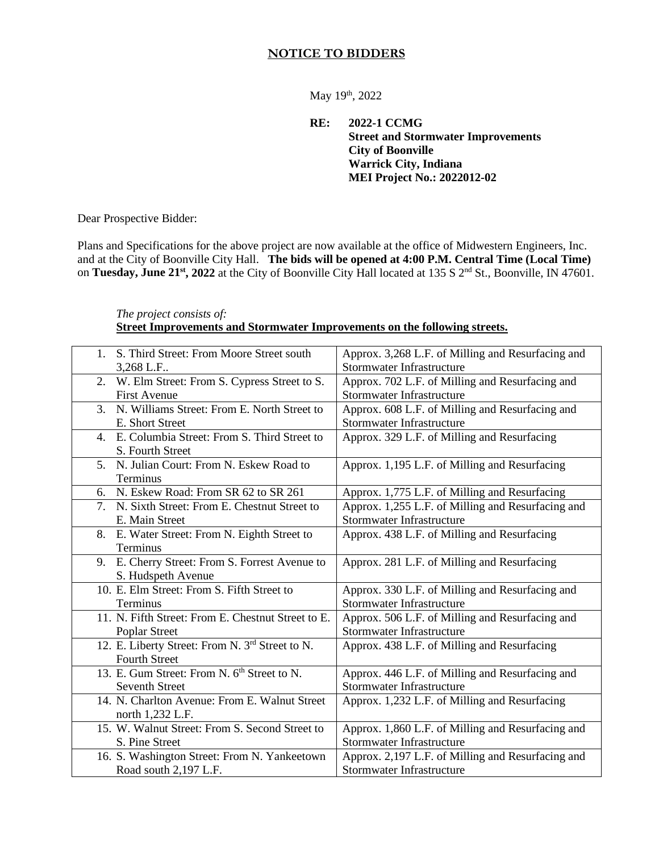## **NOTICE TO BIDDERS**

May 19th, 2022

**RE: 2022-1 CCMG Street and Stormwater Improvements City of Boonville Warrick City, Indiana MEI Project No.: 2022012-02**

Dear Prospective Bidder:

Plans and Specifications for the above project are now available at the office of Midwestern Engineers, Inc. and at the City of Boonville City Hall. **The bids will be opened at 4:00 P.M. Central Time (Local Time)** on **Tuesday, June 21st, 2022** at the City of Boonville City Hall located at 135 S 2nd St., Boonville, IN 47601.

## *The project consists of:* **Street Improvements and Stormwater Improvements on the following streets.**

| 1. S. Third Street: From Moore Street south                 | Approx. 3,268 L.F. of Milling and Resurfacing and |
|-------------------------------------------------------------|---------------------------------------------------|
| 3,268 L.F                                                   | Stormwater Infrastructure                         |
| 2. W. Elm Street: From S. Cypress Street to S.              | Approx. 702 L.F. of Milling and Resurfacing and   |
| <b>First Avenue</b>                                         | <b>Stormwater Infrastructure</b>                  |
| 3. N. Williams Street: From E. North Street to              | Approx. 608 L.F. of Milling and Resurfacing and   |
| E. Short Street                                             | <b>Stormwater Infrastructure</b>                  |
| 4. E. Columbia Street: From S. Third Street to              | Approx. 329 L.F. of Milling and Resurfacing       |
| S. Fourth Street                                            |                                                   |
| 5. N. Julian Court: From N. Eskew Road to                   | Approx. 1,195 L.F. of Milling and Resurfacing     |
| Terminus                                                    |                                                   |
| N. Eskew Road: From SR 62 to SR 261<br>6.                   | Approx. 1,775 L.F. of Milling and Resurfacing     |
| 7. N. Sixth Street: From E. Chestnut Street to              | Approx. 1,255 L.F. of Milling and Resurfacing and |
| E. Main Street                                              | Stormwater Infrastructure                         |
| E. Water Street: From N. Eighth Street to<br>8.             | Approx. 438 L.F. of Milling and Resurfacing       |
| Terminus                                                    |                                                   |
| 9. E. Cherry Street: From S. Forrest Avenue to              | Approx. 281 L.F. of Milling and Resurfacing       |
| S. Hudspeth Avenue                                          |                                                   |
| 10. E. Elm Street: From S. Fifth Street to                  | Approx. 330 L.F. of Milling and Resurfacing and   |
| Terminus                                                    | Stormwater Infrastructure                         |
| 11. N. Fifth Street: From E. Chestnut Street to E.          | Approx. 506 L.F. of Milling and Resurfacing and   |
| Poplar Street                                               | Stormwater Infrastructure                         |
| 12. E. Liberty Street: From N. 3 <sup>rd</sup> Street to N. | Approx. 438 L.F. of Milling and Resurfacing       |
| <b>Fourth Street</b>                                        |                                                   |
| 13. E. Gum Street: From N. 6 <sup>th</sup> Street to N.     | Approx. 446 L.F. of Milling and Resurfacing and   |
| <b>Seventh Street</b>                                       | Stormwater Infrastructure                         |
| 14. N. Charlton Avenue: From E. Walnut Street               | Approx. 1,232 L.F. of Milling and Resurfacing     |
| north 1,232 L.F.                                            |                                                   |
| 15. W. Walnut Street: From S. Second Street to              | Approx. 1,860 L.F. of Milling and Resurfacing and |
| S. Pine Street                                              | Stormwater Infrastructure                         |
| 16. S. Washington Street: From N. Yankeetown                | Approx. 2,197 L.F. of Milling and Resurfacing and |
| Road south 2,197 L.F.                                       | Stormwater Infrastructure                         |